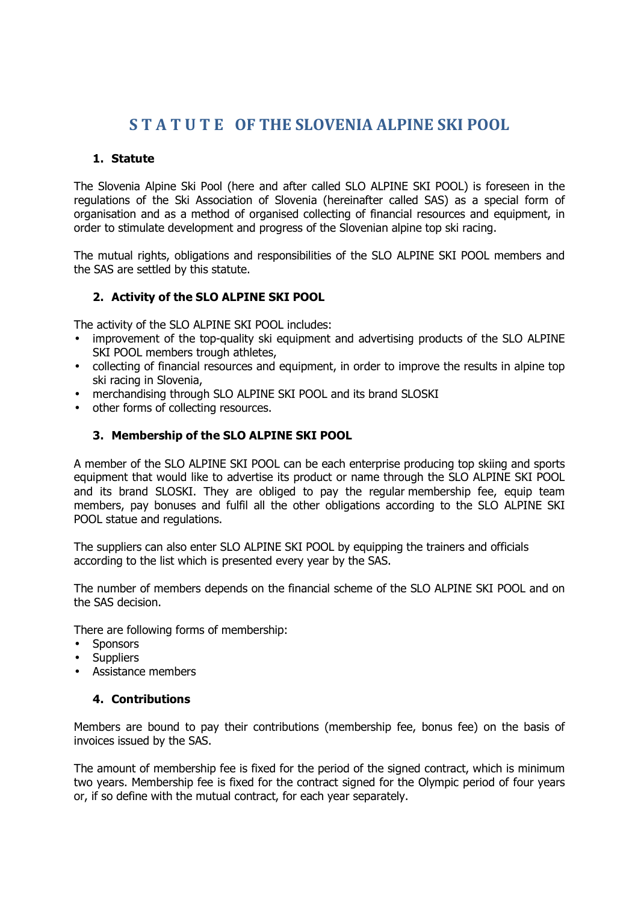# **S T A T U T E OF THE SLOVENIA ALPINE SKI POOL**

#### **1. Statute**

The Slovenia Alpine Ski Pool (here and after called SLO ALPINE SKI POOL) is foreseen in the regulations of the Ski Association of Slovenia (hereinafter called SAS) as a special form of organisation and as a method of organised collecting of financial resources and equipment, in order to stimulate development and progress of the Slovenian alpine top ski racing.

The mutual rights, obligations and responsibilities of the SLO ALPINE SKI POOL members and the SAS are settled by this statute.

## **2. Activity of the SLO ALPINE SKI POOL**

The activity of the SLO ALPINE SKI POOL includes:

- improvement of the top-quality ski equipment and advertising products of the SLO ALPINE SKI POOL members trough athletes,
- collecting of financial resources and equipment, in order to improve the results in alpine top ski racing in Slovenia,
- merchandising through SLO ALPINE SKI POOL and its brand SLOSKI
- other forms of collecting resources.

## **3. Membership of the SLO ALPINE SKI POOL**

A member of the SLO ALPINE SKI POOL can be each enterprise producing top skiing and sports equipment that would like to advertise its product or name through the SLO ALPINE SKI POOL and its brand SLOSKI. They are obliged to pay the regular membership fee, equip team members, pay bonuses and fulfil all the other obligations according to the SLO ALPINE SKI POOL statue and regulations.

The suppliers can also enter SLO ALPINE SKI POOL by equipping the trainers and officials according to the list which is presented every year by the SAS.

The number of members depends on the financial scheme of the SLO ALPINE SKI POOL and on the SAS decision.

There are following forms of membership:

- Sponsors
- Suppliers
- Assistance members

#### **4. Contributions**

Members are bound to pay their contributions (membership fee, bonus fee) on the basis of invoices issued by the SAS.

The amount of membership fee is fixed for the period of the signed contract, which is minimum two years. Membership fee is fixed for the contract signed for the Olympic period of four years or, if so define with the mutual contract, for each year separately.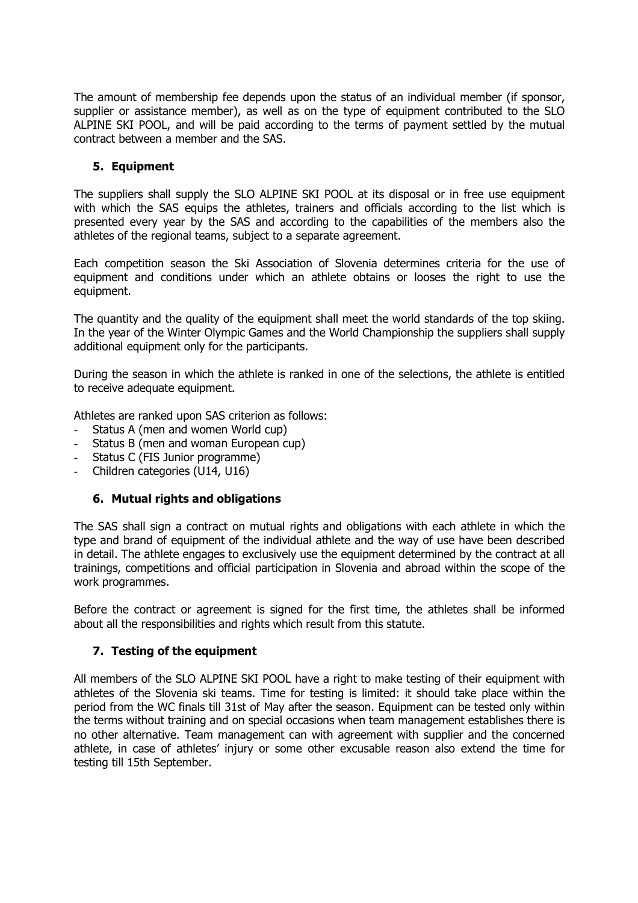The amount of membership fee depends upon the status of an individual member (if sponsor, supplier or assistance member), as well as on the type of equipment contributed to the SLO ALPINE SKI POOL, and will be paid according to the terms of payment settled by the mutual contract between a member and the SAS.

# **5. Equipment**

The suppliers shall supply the SLO ALPINE SKI POOL at its disposal or in free use equipment with which the SAS equips the athletes, trainers and officials according to the list which is presented every year by the SAS and according to the capabilities of the members also the athletes of the regional teams, subject to a separate agreement.

Each competition season the Ski Association of Slovenia determines criteria for the use of equipment and conditions under which an athlete obtains or looses the right to use the equipment.

The quantity and the quality of the equipment shall meet the world standards of the top skiing. In the year of the Winter Olympic Games and the World Championship the suppliers shall supply additional equipment only for the participants.

During the season in which the athlete is ranked in one of the selections, the athlete is entitled to receive adequate equipment.

Athletes are ranked upon SAS criterion as follows:

- Status A (men and women World cup)
- Status B (men and woman European cup)
- Status C (FIS Junior programme)
- Children categories (U14, U16)

#### **6. Mutual rights and obligations**

The SAS shall sign a contract on mutual rights and obligations with each athlete in which the type and brand of equipment of the individual athlete and the way of use have been described in detail. The athlete engages to exclusively use the equipment determined by the contract at all trainings, competitions and official participation in Slovenia and abroad within the scope of the work programmes.

Before the contract or agreement is signed for the first time, the athletes shall be informed about all the responsibilities and rights which result from this statute.

#### **7. Testing of the equipment**

All members of the SLO ALPINE SKI POOL have a right to make testing of their equipment with athletes of the Slovenia ski teams. Time for testing is limited: it should take place within the period from the WC finals till 31st of May after the season. Equipment can be tested only within the terms without training and on special occasions when team management establishes there is no other alternative. Team management can with agreement with supplier and the concerned athlete, in case of athletes' injury or some other excusable reason also extend the time for testing till 15th September.